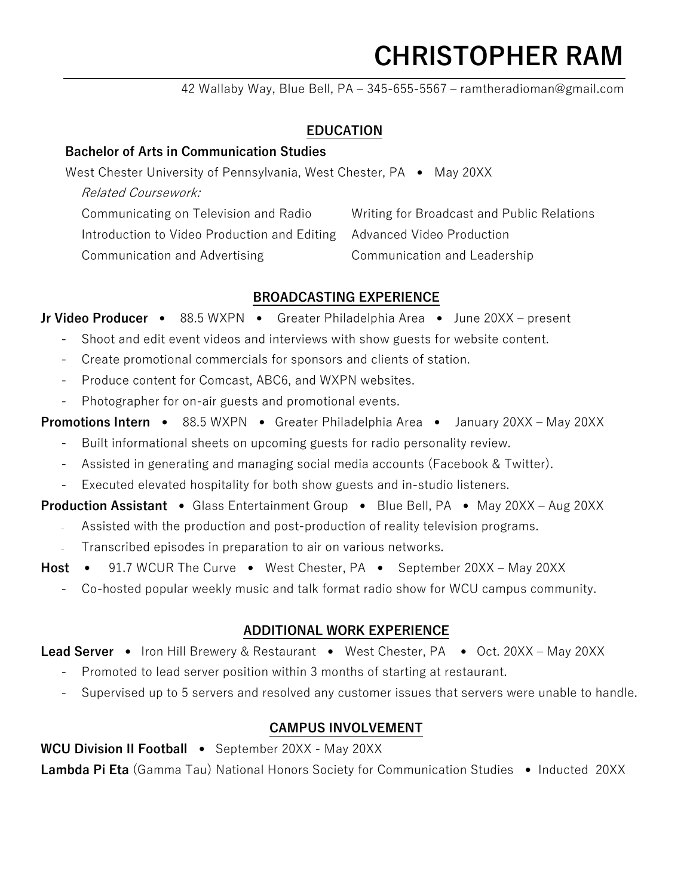## **CHRISTOPHER RAM**

42 Wallaby Way, Blue Bell, PA – 345-655-5567 – ramtheradioman@gmail.com

### **EDUCATION**

### **Bachelor of Arts in Communication Studies**

West Chester University of Pennsylvania, West Chester, PA • May 20XX

Related Coursework:

Communicating on Television and Radio Introduction to Video Production and Editing Advanced Video Production Communication and Advertising Writing for Broadcast and Public Relations Communication and Leadership

### **BROADCASTING EXPERIENCE**

**Jr Video Producer** • 88.5 WXPN • Greater Philadelphia Area • June 20XX – present

- Shoot and edit event videos and interviews with show guests for website content.
- Create promotional commercials for sponsors and clients of station.
- Produce content for Comcast, ABC6, and WXPN websites.
- Photographer for on-air guests and promotional events.

**Promotions Intern** • 88.5 WXPN • Greater Philadelphia Area • January 20XX – May 20XX

- Built informational sheets on upcoming guests for radio personality review.
- Assisted in generating and managing social media accounts (Facebook & Twitter).
- Executed elevated hospitality for both show guests and in-studio listeners.

**Production Assistant** • Glass Entertainment Group • Blue Bell, PA • May 20XX – Aug 20XX

- Assisted with the production and post-production of reality television programs.
- Transcribed episodes in preparation to air on various networks.
- **Host** 91.7 WCUR The Curve West Chester, PA September 20XX May 20XX
	- Co-hosted popular weekly music and talk format radio show for WCU campus community.

### **ADDITIONAL WORK EXPERIENCE**

Lead Server • Iron Hill Brewery & Restaurant • West Chester, PA • Oct. 20XX – May 20XX

- Promoted to lead server position within 3 months of starting at restaurant.
- Supervised up to 5 servers and resolved any customer issues that servers were unable to handle.

### **CAMPUS INVOLVEMENT**

**WCU Division II Football** • September 20XX - May 20XX

**Lambda Pi Eta** (Gamma Tau) National Honors Society for Communication Studies • Inducted 20XX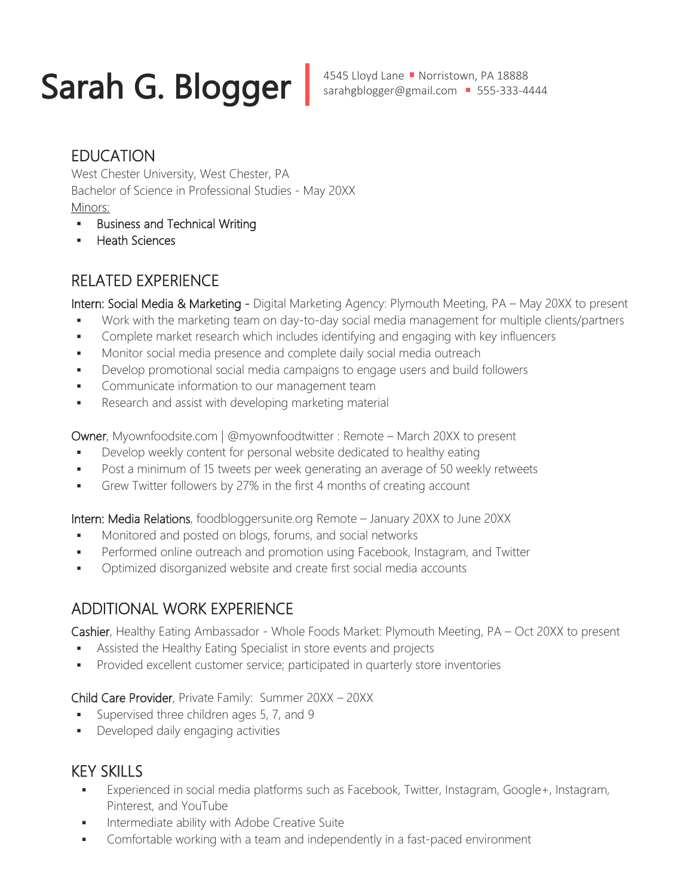# Sarah G. Blogger | 4545 Lloyd Lane • Norristown, PA 18888

### EDUCATION

West Chester University, West Chester, PA Bachelor of Science in Professional Studies - May 20XX Minors:

- **Business and Technical Writing**
- Heath Sciences

### RELATED EXPERIENCE

Intern: Social Media & Marketing - Digital Marketing Agency: Plymouth Meeting, PA - May 20XX to present

- Work with the marketing team on day-to-day social media management for multiple clients/partners
- Complete market research which includes identifying and engaging with key influencers
- **Monitor social media presence and complete daily social media outreach**
- Develop promotional social media campaigns to engage users and build followers
- **Communicate information to our management team**
- **Research and assist with developing marketing material**

Owner, Myownfoodsite.com | @myownfoodtwitter : Remote – March 20XX to present

- Develop weekly content for personal website dedicated to healthy eating
- Post a minimum of 15 tweets per week generating an average of 50 weekly retweets
- Grew Twitter followers by 27% in the first 4 months of creating account

Intern: Media Relations, foodbloggersunite.org Remote – January 20XX to June 20XX

- Monitored and posted on blogs, forums, and social networks
- Performed online outreach and promotion using Facebook, Instagram, and Twitter
- **•** Optimized disorganized website and create first social media accounts

### ADDITIONAL WORK EXPERIENCE

Cashier, Healthy Eating Ambassador - Whole Foods Market: Plymouth Meeting, PA – Oct 20XX to present

- Assisted the Healthy Eating Specialist in store events and projects
- **Provided excellent customer service; participated in quarterly store inventories**

Child Care Provider, Private Family: Summer 20XX – 20XX

- Supervised three children ages 5, 7, and 9
- **•** Developed daily engaging activities

### KEY SKILLS

- Experienced in social media platforms such as Facebook, Twitter, Instagram, Google+, Instagram, Pinterest, and YouTube
- Intermediate ability with Adobe Creative Suite
- Comfortable working with a team and independently in a fast-paced environment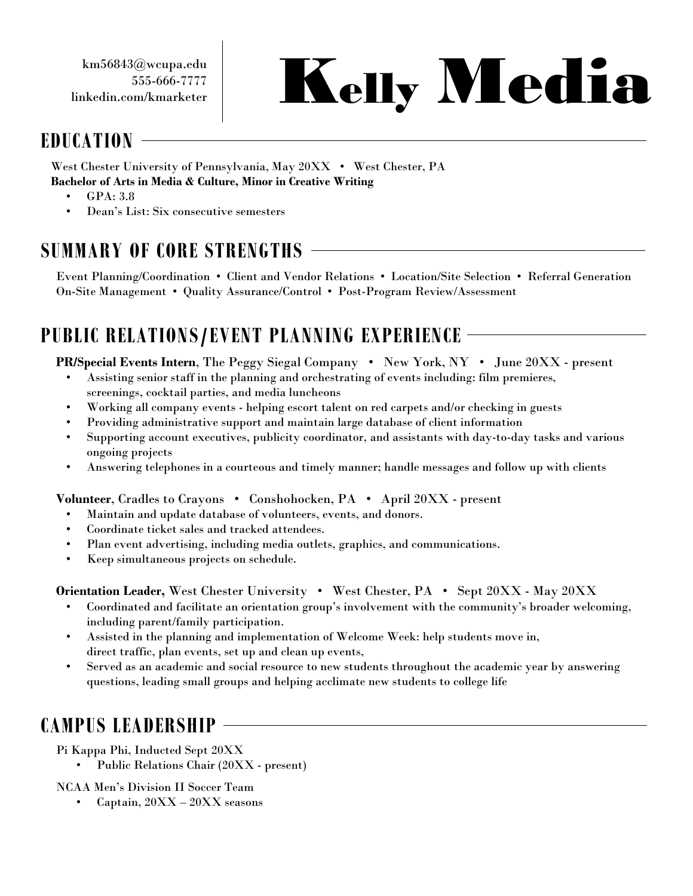km56843@wcupa.edu 555-666-7777 linkedin.com/kmarketer

# Kelly Media

### **EDUCATION**

West Chester University of Pennsylvania, May 20XX • West Chester, PA **Bachelor of Arts in Media & Culture, Minor in Creative Writing**

- GPA: 3.8
- Dean's List: Six consecutive semesters

### **SUMMARY OF CORE STRENGTHS**

Event Planning/Coordination • Client and Vendor Relations • Location/Site Selection • Referral Generation On-Site Management • Quality Assurance/Control • Post-Program Review/Assessment

### **PUBLIC RELATIONS/EVENT PLANNING EXPERIENCE**

**PR/Special Events Intern**, The Peggy Siegal Company • New York, NY • June 20XX - present

- Assisting senior staff in the planning and orchestrating of events including: film premieres, screenings, cocktail parties, and media luncheons
- Working all company events helping escort talent on red carpets and/or checking in guests
- Providing administrative support and maintain large database of client information
- Supporting account executives, publicity coordinator, and assistants with day-to-day tasks and various ongoing projects
- Answering telephones in a courteous and timely manner; handle messages and follow up with clients

**Volunteer**, Cradles to Crayons • Conshohocken, PA • April 20XX - present

- Maintain and update database of volunteers, events, and donors.
- Coordinate ticket sales and tracked attendees.
- Plan event advertising, including media outlets, graphics, and communications.
- Keep simultaneous projects on schedule.

**Orientation Leader,** West Chester University • West Chester, PA • Sept 20XX - May 20XX

- Coordinated and facilitate an orientation group's involvement with the community's broader welcoming, including parent/family participation.
- Assisted in the planning and implementation of Welcome Week: help students move in, direct traffic, plan events, set up and clean up events,
- Served as an academic and social resource to new students throughout the academic year by answering questions, leading small groups and helping acclimate new students to college life

### **CAMPUS LEADERSHIP**

Pi Kappa Phi, Inducted Sept 20XX

• Public Relations Chair (20XX - present)

NCAA Men's Division II Soccer Team

• Captain, 20XX – 20XX seasons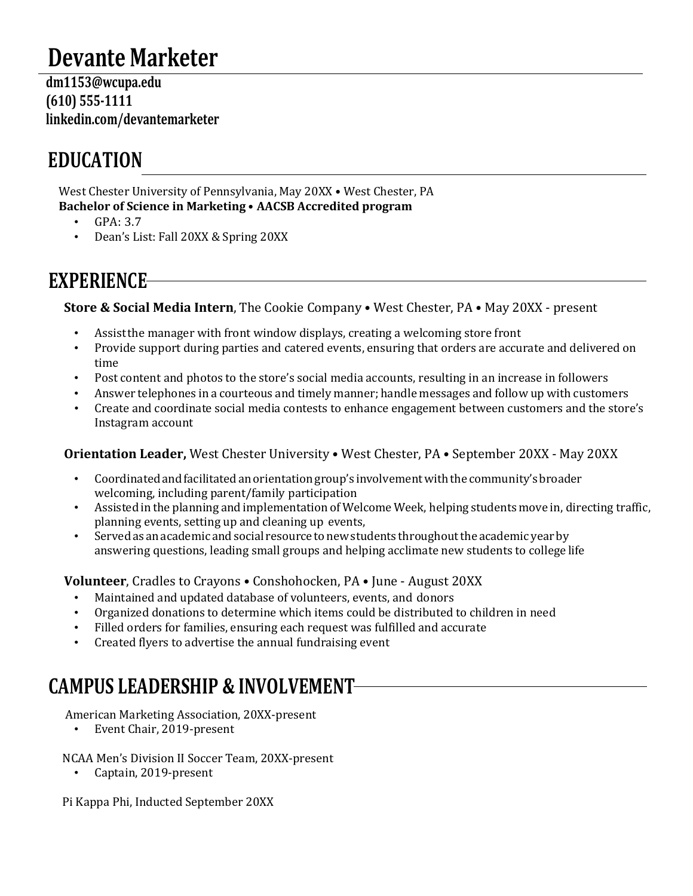### **Devante Marketer**

 **dm1153@wcupa.edu (610) 555-1111 linkedin.com/devantemarketer**

### **EDUCATION**

West Chester University of Pennsylvania, May 20XX • West Chester, PA **Bachelor of Science in Marketing** • **AACSB Accredited program**

- $\cdot$  GPA: 3.7
- Dean's List: Fall 20XX & Spring 20XX

### **EXPERIENCE**

**Store & Social Media Intern**, The Cookie Company • West Chester, PA • May 20XX - present

- Assistthe manager with front window displays, creating a welcoming store front
- Provide support during parties and catered events, ensuring that orders are accurate and delivered on time
- Post content and photos to the store's social media accounts, resulting in an increase in followers
- Answer telephones in a courteous and timely manner; handle messages and follow up with customers<br>• Create and coordinate social media contests to enhance engagement between customers and the store
- Create and coordinate social media contests to enhance engagement between customers and the store's Instagram account

### **Orientation Leader,** West Chester University • West Chester, PA • September 20XX - May 20XX

- Coordinated and facilitated an orientation group's involvement with the community's broader welcoming, including parent/family participation
- Assisted in the planning and implementation of Welcome Week, helping students move in, directing traffic, planning events, setting up and cleaning up events,
- Served as an academic and social resource to new students throughout the academic year by answering questions, leading small groups and helping acclimate new students to college life

**Volunteer**, Cradles to Crayons • Conshohocken, PA • June - August 20XX

- Maintained and updated database of volunteers, events, and donors
- Organized donations to determine which items could be distributed to children in need
- Filled orders for families, ensuring each request was fulfilled and accurate
- Created flyers to advertise the annual fundraising event

### **CAMPUS LEADERSHIP & INVOLVEMENT**

American Marketing Association, 20XX-present

• Event Chair, 2019-present

NCAA Men's Division II Soccer Team, 20XX-present

• Captain, 2019-present

Pi Kappa Phi, Inducted September 20XX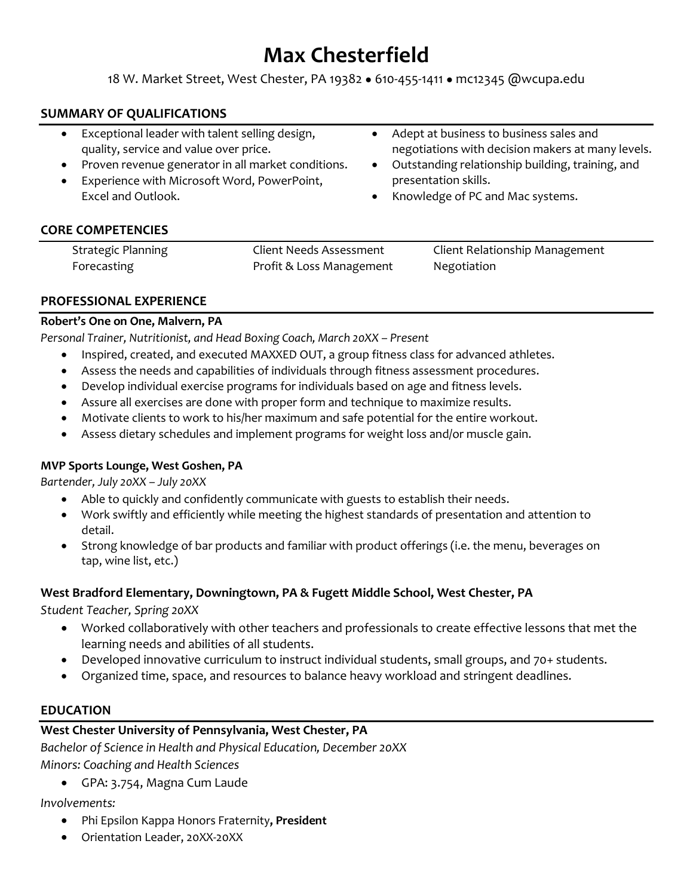### **Max Chesterfield**

18 W. Market Street, West Chester, PA 19382 ● 610-455-1411 ● mc12345 @wcupa.edu

### **SUMMARY OF QUALIFICATIONS**

- Exceptional leader with talent selling design, quality, service and value over price.
- Proven revenue generator in all market conditions.
- Experience with Microsoft Word, PowerPoint, Excel and Outlook.
- Adept at business to business sales and negotiations with decision makers at many levels.
- Outstanding relationship building, training, and presentation skills.
- Knowledge of PC and Mac systems.

### **CORE COMPETENCIES**

| <b>Strategic Planning</b> | Client Needs Assessment  | Client Relationship Management |
|---------------------------|--------------------------|--------------------------------|
| Forecasting               | Profit & Loss Management | Negotiation                    |

#### **PROFESSIONAL EXPERIENCE**

#### **Robert's One on One, Malvern, PA**

*Personal Trainer, Nutritionist, and Head Boxing Coach, March 20XX – Present*

- Inspired, created, and executed MAXXED OUT, a group fitness class for advanced athletes.
- Assess the needs and capabilities of individuals through fitness assessment procedures.
- Develop individual exercise programs for individuals based on age and fitness levels.
- Assure all exercises are done with proper form and technique to maximize results.
- Motivate clients to work to his/her maximum and safe potential for the entire workout.
- Assess dietary schedules and implement programs for weight loss and/or muscle gain.

#### **MVP Sports Lounge, West Goshen, PA**

*Bartender, July 20XX – July 20XX*

- Able to quickly and confidently communicate with guests to establish their needs.
- Work swiftly and efficiently while meeting the highest standards of presentation and attention to detail.
- Strong knowledge of bar products and familiar with product offerings (i.e. the menu, beverages on tap, wine list, etc.)

### **West Bradford Elementary, Downingtown, PA & Fugett Middle School, West Chester, PA**

*Student Teacher, Spring 20XX*

- Worked collaboratively with other teachers and professionals to create effective lessons that met the learning needs and abilities of all students.
- Developed innovative curriculum to instruct individual students, small groups, and 70+ students.
- Organized time, space, and resources to balance heavy workload and stringent deadlines.

### **EDUCATION**

### **West Chester University of Pennsylvania, West Chester, PA**

*Bachelor of Science in Health and Physical Education, December 20XX*

*Minors: Coaching and Health Sciences*

• GPA: 3.754, Magna Cum Laude

*Involvements:* 

- Phi Epsilon Kappa Honors Fraternity**, President**
- Orientation Leader, 20XX-20XX